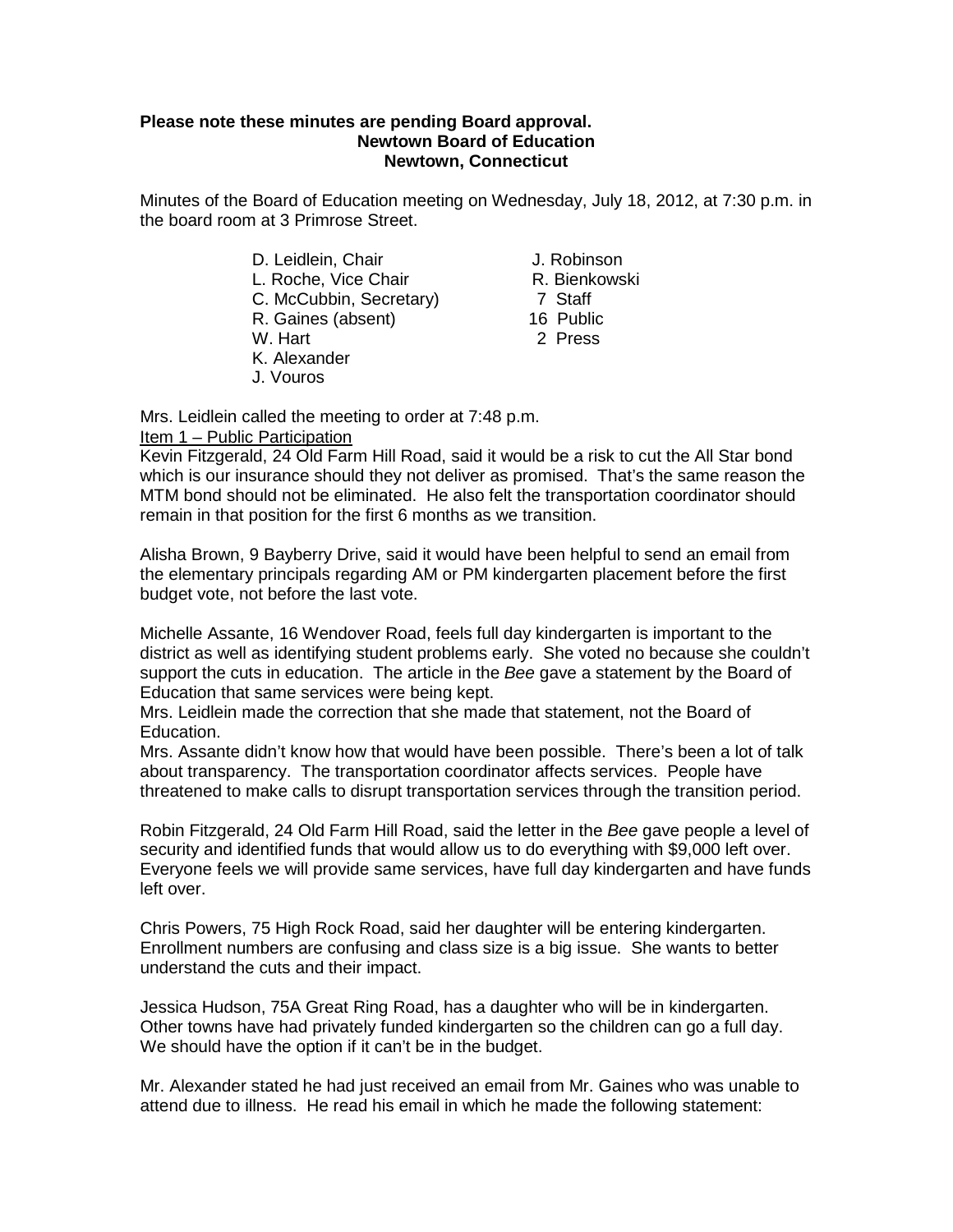### **Please note these minutes are pending Board approval. Newtown Board of Education Newtown, Connecticut**

Minutes of the Board of Education meeting on Wednesday, July 18, 2012, at 7:30 p.m. in the board room at 3 Primrose Street.

- D. Leidlein, Chair<br>
L. Roche. Vice Chair<br>
L. Roche. Vice Chair<br>
L. Roche. Vice Chair L. Roche, Vice Chair<br>C. McCubbin. Secretary **R. Bienkowski** C. McCubbin. Secretary C. McCubbin, Secretary) 7 Staff<br>R. Gaines (absent) 7 Staff R. Gaines (absent) W. Hart 2 Press K. Alexander
- J. Vouros
- 
- 
- 
- 

Mrs. Leidlein called the meeting to order at 7:48 p.m.

## Item 1 – Public Participation

Kevin Fitzgerald, 24 Old Farm Hill Road, said it would be a risk to cut the All Star bond which is our insurance should they not deliver as promised. That's the same reason the MTM bond should not be eliminated. He also felt the transportation coordinator should remain in that position for the first 6 months as we transition.

Alisha Brown, 9 Bayberry Drive, said it would have been helpful to send an email from the elementary principals regarding AM or PM kindergarten placement before the first budget vote, not before the last vote.

Michelle Assante, 16 Wendover Road, feels full day kindergarten is important to the district as well as identifying student problems early. She voted no because she couldn't support the cuts in education. The article in the *Bee* gave a statement by the Board of Education that same services were being kept.

Mrs. Leidlein made the correction that she made that statement, not the Board of Education.

Mrs. Assante didn't know how that would have been possible. There's been a lot of talk about transparency. The transportation coordinator affects services. People have threatened to make calls to disrupt transportation services through the transition period.

Robin Fitzgerald, 24 Old Farm Hill Road, said the letter in the *Bee* gave people a level of security and identified funds that would allow us to do everything with \$9,000 left over. Everyone feels we will provide same services, have full day kindergarten and have funds left over.

Chris Powers, 75 High Rock Road, said her daughter will be entering kindergarten. Enrollment numbers are confusing and class size is a big issue. She wants to better understand the cuts and their impact.

Jessica Hudson, 75A Great Ring Road, has a daughter who will be in kindergarten. Other towns have had privately funded kindergarten so the children can go a full day. We should have the option if it can't be in the budget.

Mr. Alexander stated he had just received an email from Mr. Gaines who was unable to attend due to illness. He read his email in which he made the following statement: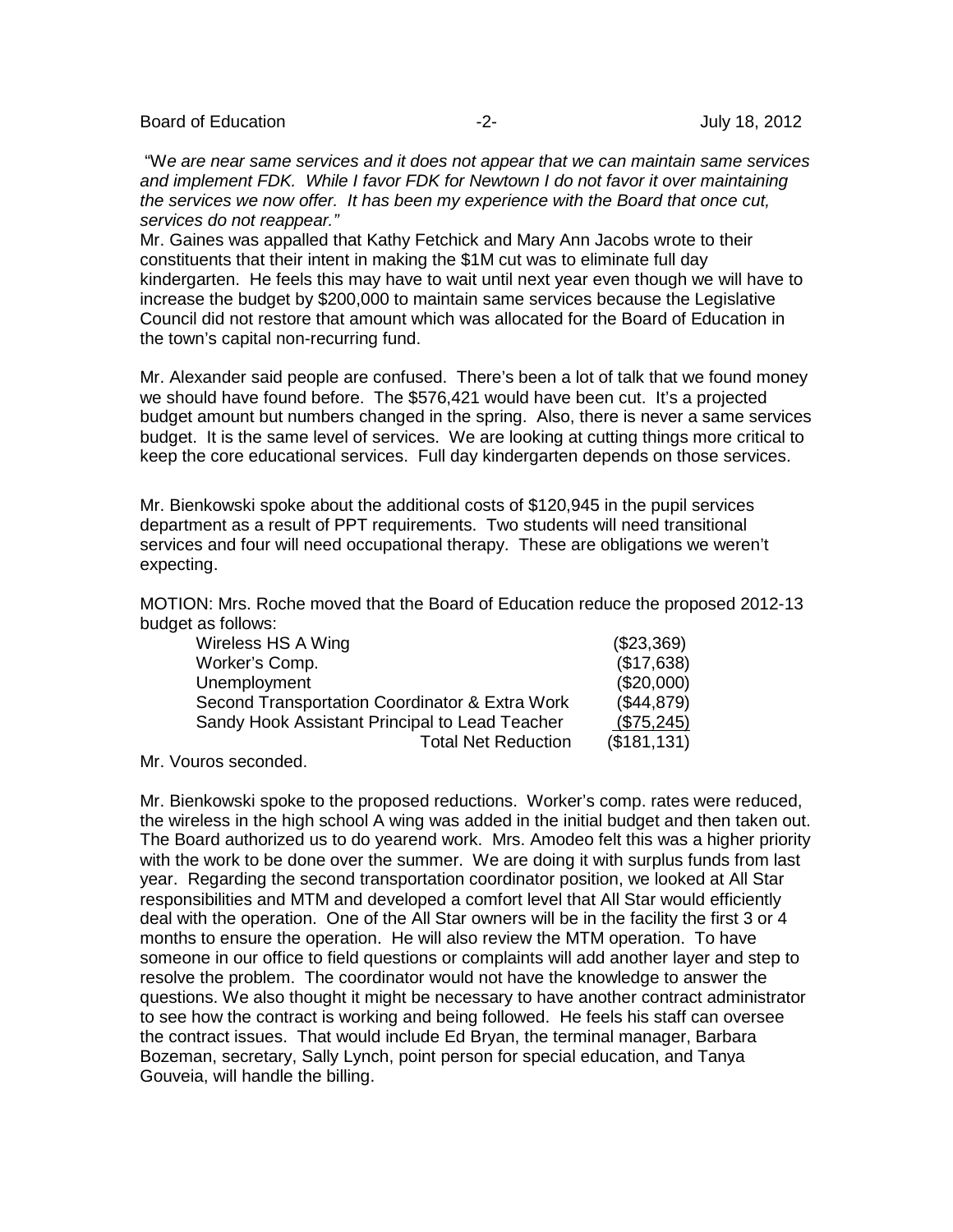Board of Education **-2-** Figure 2. The set of Education of Education  $-2$ - **July 18, 2012** 

"W*e are near same services and it does not appear that we can maintain same services and implement FDK. While I favor FDK for Newtown I do not favor it over maintaining the services we now offer. It has been my experience with the Board that once cut. services do not reappear."*

Mr. Gaines was appalled that Kathy Fetchick and Mary Ann Jacobs wrote to their constituents that their intent in making the \$1M cut was to eliminate full day kindergarten. He feels this may have to wait until next year even though we will have to increase the budget by \$200,000 to maintain same services because the Legislative Council did not restore that amount which was allocated for the Board of Education in the town's capital non-recurring fund.

Mr. Alexander said people are confused. There's been a lot of talk that we found money we should have found before. The \$576,421 would have been cut. It's a projected budget amount but numbers changed in the spring. Also, there is never a same services budget. It is the same level of services. We are looking at cutting things more critical to keep the core educational services. Full day kindergarten depends on those services.

Mr. Bienkowski spoke about the additional costs of \$120,945 in the pupil services department as a result of PPT requirements. Two students will need transitional services and four will need occupational therapy. These are obligations we weren't expecting.

MOTION: Mrs. Roche moved that the Board of Education reduce the proposed 2012-13 budget as follows:

| Wireless HS A Wing                             | (\$23,369)   |
|------------------------------------------------|--------------|
| Worker's Comp.                                 | (\$17,638)   |
| Unemployment                                   | (\$20,000)   |
| Second Transportation Coordinator & Extra Work | (\$44,879)   |
| Sandy Hook Assistant Principal to Lead Teacher | (\$75,245)   |
| <b>Total Net Reduction</b>                     | (\$181, 131) |

Mr. Vouros seconded.

Mr. Bienkowski spoke to the proposed reductions. Worker's comp. rates were reduced, the wireless in the high school A wing was added in the initial budget and then taken out. The Board authorized us to do yearend work. Mrs. Amodeo felt this was a higher priority with the work to be done over the summer. We are doing it with surplus funds from last year. Regarding the second transportation coordinator position, we looked at All Star responsibilities and MTM and developed a comfort level that All Star would efficiently deal with the operation. One of the All Star owners will be in the facility the first 3 or 4 months to ensure the operation. He will also review the MTM operation. To have someone in our office to field questions or complaints will add another layer and step to resolve the problem. The coordinator would not have the knowledge to answer the questions. We also thought it might be necessary to have another contract administrator to see how the contract is working and being followed. He feels his staff can oversee the contract issues. That would include Ed Bryan, the terminal manager, Barbara Bozeman, secretary, Sally Lynch, point person for special education, and Tanya Gouveia, will handle the billing.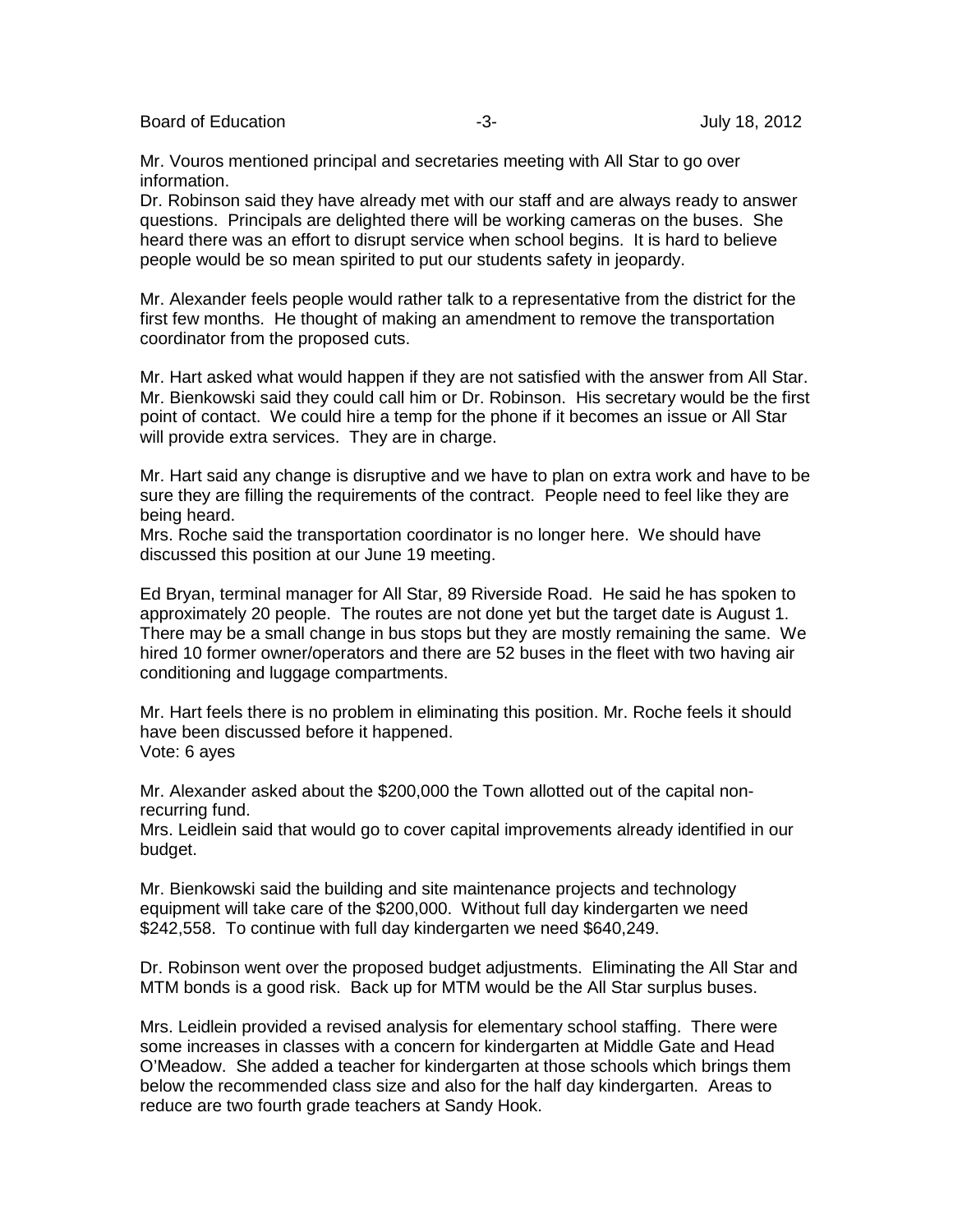Board of Education **-3-** Figure 2012 **-3-** Figure 2012

Mr. Vouros mentioned principal and secretaries meeting with All Star to go over information.

Dr. Robinson said they have already met with our staff and are always ready to answer questions. Principals are delighted there will be working cameras on the buses. She heard there was an effort to disrupt service when school begins. It is hard to believe people would be so mean spirited to put our students safety in jeopardy.

Mr. Alexander feels people would rather talk to a representative from the district for the first few months. He thought of making an amendment to remove the transportation coordinator from the proposed cuts.

Mr. Hart asked what would happen if they are not satisfied with the answer from All Star. Mr. Bienkowski said they could call him or Dr. Robinson. His secretary would be the first point of contact. We could hire a temp for the phone if it becomes an issue or All Star will provide extra services. They are in charge.

Mr. Hart said any change is disruptive and we have to plan on extra work and have to be sure they are filling the requirements of the contract. People need to feel like they are being heard.

Mrs. Roche said the transportation coordinator is no longer here. We should have discussed this position at our June 19 meeting.

Ed Bryan, terminal manager for All Star, 89 Riverside Road. He said he has spoken to approximately 20 people. The routes are not done yet but the target date is August 1. There may be a small change in bus stops but they are mostly remaining the same. We hired 10 former owner/operators and there are 52 buses in the fleet with two having air conditioning and luggage compartments.

Mr. Hart feels there is no problem in eliminating this position. Mr. Roche feels it should have been discussed before it happened. Vote: 6 ayes

Mr. Alexander asked about the \$200,000 the Town allotted out of the capital nonrecurring fund.

Mrs. Leidlein said that would go to cover capital improvements already identified in our budget.

Mr. Bienkowski said the building and site maintenance projects and technology equipment will take care of the \$200,000. Without full day kindergarten we need \$242,558. To continue with full day kindergarten we need \$640,249.

Dr. Robinson went over the proposed budget adjustments. Eliminating the All Star and MTM bonds is a good risk. Back up for MTM would be the All Star surplus buses.

Mrs. Leidlein provided a revised analysis for elementary school staffing. There were some increases in classes with a concern for kindergarten at Middle Gate and Head O'Meadow. She added a teacher for kindergarten at those schools which brings them below the recommended class size and also for the half day kindergarten. Areas to reduce are two fourth grade teachers at Sandy Hook.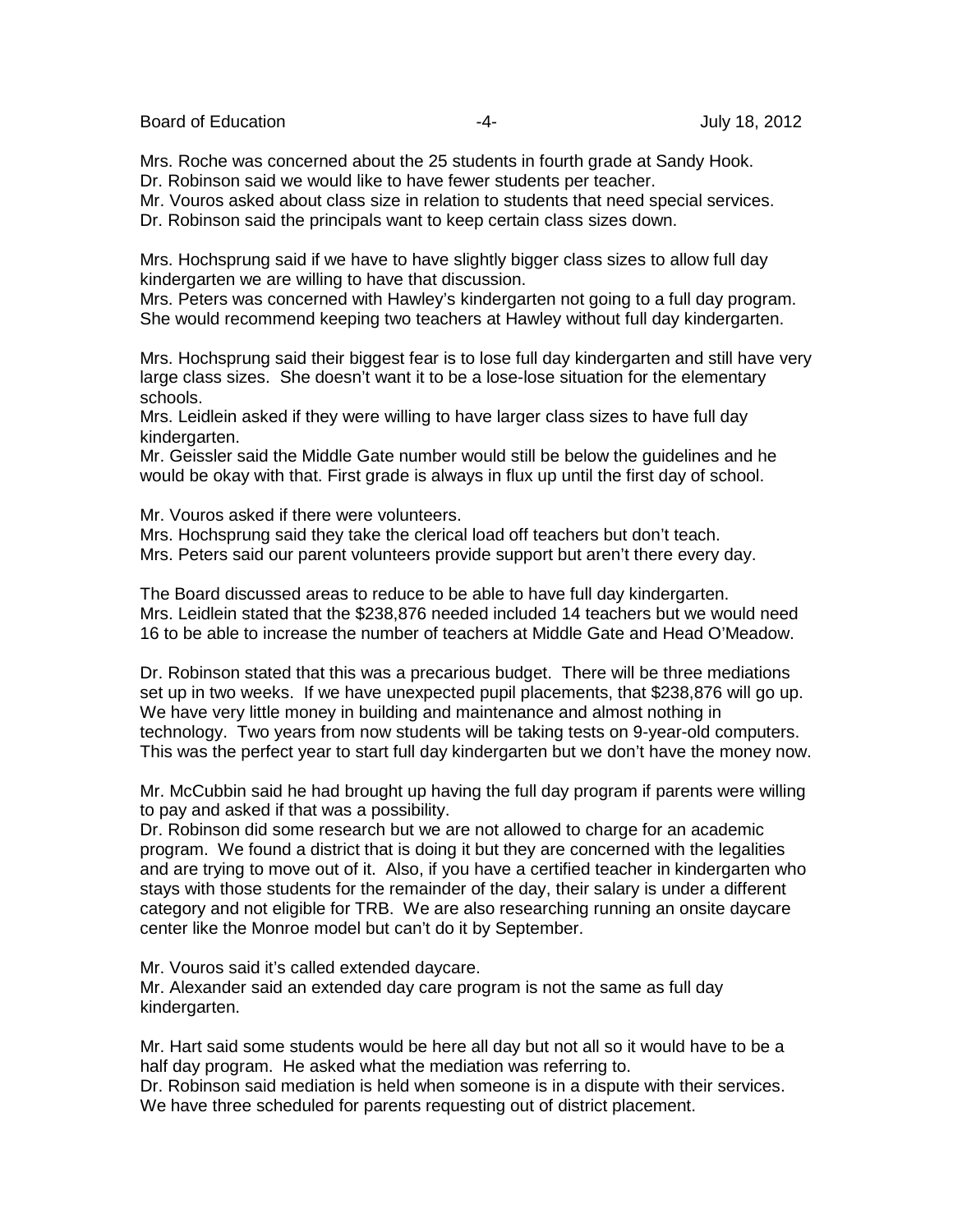Board of Education **-4-** Figure 2012 **-4-** All the United States of Education 3012

Mrs. Roche was concerned about the 25 students in fourth grade at Sandy Hook. Dr. Robinson said we would like to have fewer students per teacher.

Mr. Vouros asked about class size in relation to students that need special services.

Dr. Robinson said the principals want to keep certain class sizes down.

Mrs. Hochsprung said if we have to have slightly bigger class sizes to allow full day kindergarten we are willing to have that discussion.

Mrs. Peters was concerned with Hawley's kindergarten not going to a full day program. She would recommend keeping two teachers at Hawley without full day kindergarten.

Mrs. Hochsprung said their biggest fear is to lose full day kindergarten and still have very large class sizes. She doesn't want it to be a lose-lose situation for the elementary schools.

Mrs. Leidlein asked if they were willing to have larger class sizes to have full day kindergarten.

Mr. Geissler said the Middle Gate number would still be below the guidelines and he would be okay with that. First grade is always in flux up until the first day of school.

Mr. Vouros asked if there were volunteers.

Mrs. Hochsprung said they take the clerical load off teachers but don't teach. Mrs. Peters said our parent volunteers provide support but aren't there every day.

The Board discussed areas to reduce to be able to have full day kindergarten. Mrs. Leidlein stated that the \$238,876 needed included 14 teachers but we would need 16 to be able to increase the number of teachers at Middle Gate and Head O'Meadow.

Dr. Robinson stated that this was a precarious budget. There will be three mediations set up in two weeks. If we have unexpected pupil placements, that \$238,876 will go up. We have very little money in building and maintenance and almost nothing in technology. Two years from now students will be taking tests on 9-year-old computers. This was the perfect year to start full day kindergarten but we don't have the money now.

Mr. McCubbin said he had brought up having the full day program if parents were willing to pay and asked if that was a possibility.

Dr. Robinson did some research but we are not allowed to charge for an academic program. We found a district that is doing it but they are concerned with the legalities and are trying to move out of it. Also, if you have a certified teacher in kindergarten who stays with those students for the remainder of the day, their salary is under a different category and not eligible for TRB. We are also researching running an onsite daycare center like the Monroe model but can't do it by September.

Mr. Vouros said it's called extended daycare.

Mr. Alexander said an extended day care program is not the same as full day kindergarten.

Mr. Hart said some students would be here all day but not all so it would have to be a half day program. He asked what the mediation was referring to.

Dr. Robinson said mediation is held when someone is in a dispute with their services. We have three scheduled for parents requesting out of district placement.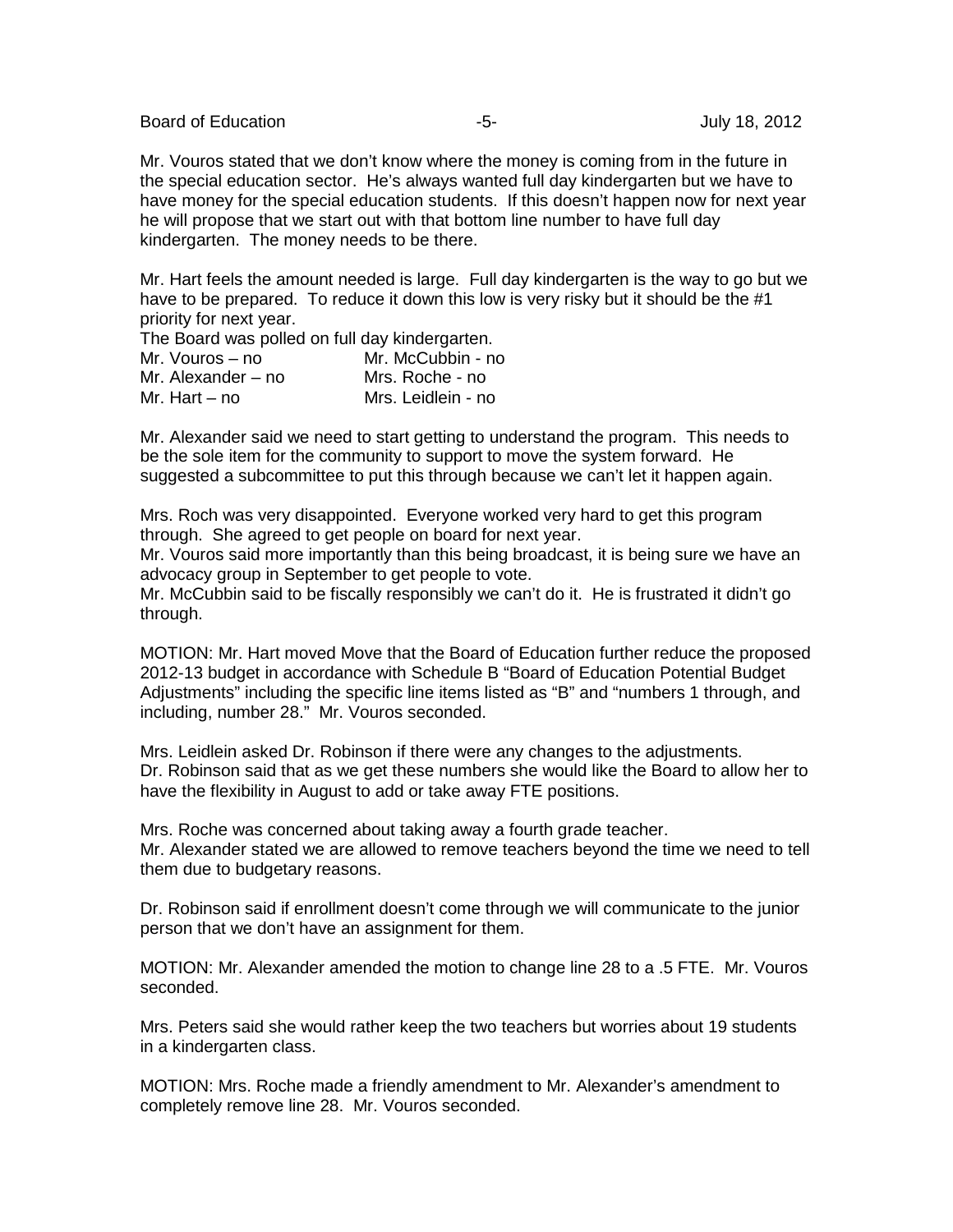Board of Education **-5-** Formulation **-5-** Formulation of Education **-5-** Formulation **July 18, 2012** 

Mr. Vouros stated that we don't know where the money is coming from in the future in the special education sector. He's always wanted full day kindergarten but we have to have money for the special education students. If this doesn't happen now for next year he will propose that we start out with that bottom line number to have full day kindergarten. The money needs to be there.

Mr. Hart feels the amount needed is large. Full day kindergarten is the way to go but we have to be prepared. To reduce it down this low is very risky but it should be the #1 priority for next year.

The Board was polled on full day kindergarten.

| Mr. McCubbin - no  |
|--------------------|
| Mrs. Roche - no    |
| Mrs. Leidlein - no |
|                    |

Mr. Alexander said we need to start getting to understand the program. This needs to be the sole item for the community to support to move the system forward. He suggested a subcommittee to put this through because we can't let it happen again.

Mrs. Roch was very disappointed. Everyone worked very hard to get this program through. She agreed to get people on board for next year.

Mr. Vouros said more importantly than this being broadcast, it is being sure we have an advocacy group in September to get people to vote.

Mr. McCubbin said to be fiscally responsibly we can't do it. He is frustrated it didn't go through.

MOTION: Mr. Hart moved Move that the Board of Education further reduce the proposed 2012-13 budget in accordance with Schedule B "Board of Education Potential Budget Adjustments" including the specific line items listed as "B" and "numbers 1 through, and including, number 28." Mr. Vouros seconded.

Mrs. Leidlein asked Dr. Robinson if there were any changes to the adjustments. Dr. Robinson said that as we get these numbers she would like the Board to allow her to have the flexibility in August to add or take away FTE positions.

Mrs. Roche was concerned about taking away a fourth grade teacher. Mr. Alexander stated we are allowed to remove teachers beyond the time we need to tell them due to budgetary reasons.

Dr. Robinson said if enrollment doesn't come through we will communicate to the junior person that we don't have an assignment for them.

MOTION: Mr. Alexander amended the motion to change line 28 to a .5 FTE. Mr. Vouros seconded.

Mrs. Peters said she would rather keep the two teachers but worries about 19 students in a kindergarten class.

MOTION: Mrs. Roche made a friendly amendment to Mr. Alexander's amendment to completely remove line 28. Mr. Vouros seconded.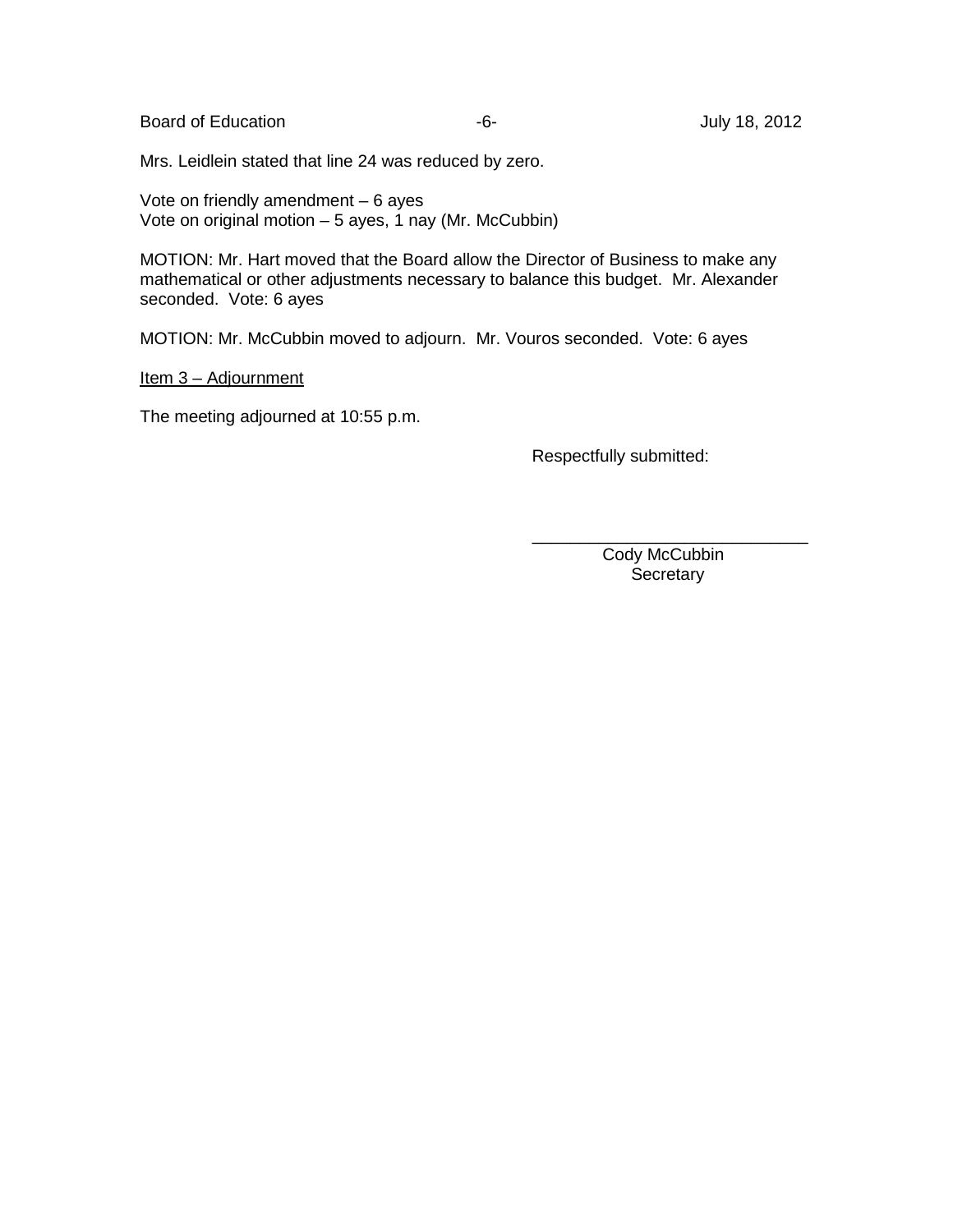Board of Education **Contract Contract Contract Contract Contract Contract Contract Contract Contract Contract Contract Contract Contract Contract Contract Contract Contract Contract Contract Contract Contract Contract Cont** 

Mrs. Leidlein stated that line 24 was reduced by zero.

Vote on friendly amendment – 6 ayes Vote on original motion  $-5$  ayes, 1 nay (Mr. McCubbin)

MOTION: Mr. Hart moved that the Board allow the Director of Business to make any mathematical or other adjustments necessary to balance this budget. Mr. Alexander seconded. Vote: 6 ayes

MOTION: Mr. McCubbin moved to adjourn. Mr. Vouros seconded. Vote: 6 ayes

Item 3 – Adjournment

The meeting adjourned at 10:55 p.m.

Respectfully submitted:

 Cody McCubbin **Secretary** 

\_\_\_\_\_\_\_\_\_\_\_\_\_\_\_\_\_\_\_\_\_\_\_\_\_\_\_\_\_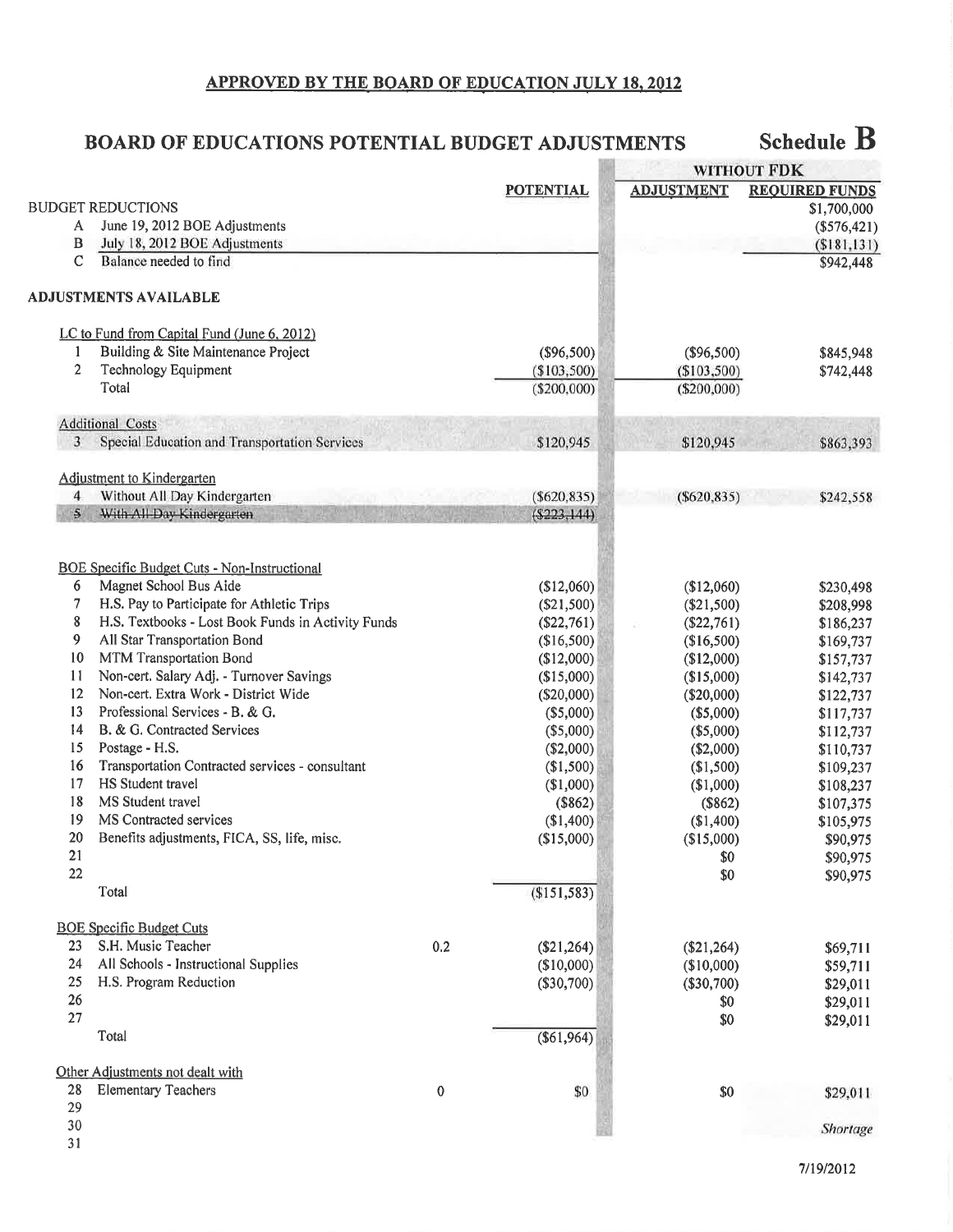# APPROVED BY THE BOARD OF EDUCATION JULY 18, 2012

#### Schedule  $B$ **BOARD OF EDUCATIONS POTENTIAL BUDGET ADJUSTMENTS**

|                |                                                                               |                  |                  |                          | WITHOUT FDK            |
|----------------|-------------------------------------------------------------------------------|------------------|------------------|--------------------------|------------------------|
|                |                                                                               |                  | <b>POTENTIAL</b> | <b>ADJUSTMENT</b>        | <b>REQUIRED FUNDS</b>  |
|                | <b>BUDGET REDUCTIONS</b>                                                      |                  |                  |                          | \$1,700,000            |
| A              | June 19, 2012 BOE Adjustments                                                 |                  |                  |                          | $(\$576,421)$          |
| B              | July 18, 2012 BOE Adjustments                                                 |                  |                  |                          | ( \$181, 131)          |
| $\mathbf C$    | Balance needed to find                                                        |                  |                  |                          | \$942,448              |
|                | <b>ADJUSTMENTS AVAILABLE</b>                                                  |                  |                  |                          |                        |
|                | LC to Fund from Capital Fund (June 6, 2012)                                   |                  |                  |                          |                        |
| 1              | Building & Site Maintenance Project                                           |                  | (\$96,500)       | $(\$96,500)$             | \$845,948              |
| $\overline{2}$ | Technology Equipment                                                          |                  | (\$103,500)      | (\$103,500)              | \$742,448              |
|                | Total                                                                         |                  | $(\$200,000)$    | $(\$200,000)$            |                        |
|                | <b>Additional Costs</b>                                                       |                  |                  |                          |                        |
| 3              | Special Education and Transportation Services                                 |                  | \$120,945        | \$120,945                | \$863,393              |
|                | Adjustment to Kindergarten                                                    |                  |                  |                          |                        |
| $\overline{4}$ | Without All Day Kindergarten                                                  |                  | ( \$620, 835)    | $(\$620, 835)$           | \$242,558              |
| $\mathbf{5}$   | With All Day Kindergarten                                                     |                  | $($ \$223,144)   |                          |                        |
|                |                                                                               |                  |                  |                          |                        |
| 6              | <b>BOE Specific Budget Cuts - Non-Instructional</b><br>Magnet School Bus Aide |                  | (\$12,060)       | (\$12,060)               | \$230,498              |
| 7              | H.S. Pay to Participate for Athletic Trips                                    |                  | (\$21,500)       | $(\$21,500)$             | \$208,998              |
| 8              | H.S. Textbooks - Lost Book Funds in Activity Funds                            |                  | $(\$22,761)$     | (\$22,761)               | \$186,237              |
| 9              | All Star Transportation Bond                                                  |                  | (\$16,500)       | (\$16,500)               | \$169,737              |
| 10             | MTM Transportation Bond                                                       |                  | (\$12,000)       | (\$12,000)               | \$157,737              |
| 11             | Non-cert. Salary Adj. - Turnover Savings                                      |                  | (\$15,000)       | (\$15,000)               | \$142,737              |
| 12             | Non-cert. Extra Work - District Wide                                          |                  | (\$20,000)       | $(\$20,000)$             | \$122,737              |
| 13             | Professional Services - B. & G.                                               |                  | (\$5,000)        |                          |                        |
| 14             | B. & G. Contracted Services                                                   |                  | (\$5,000)        | $(\$5,000)$<br>(\$5,000) | \$117,737              |
| 15             | Postage - H.S.                                                                |                  | (\$2,000)        | (\$2,000)                | \$112,737<br>\$110,737 |
| 16             | Transportation Contracted services - consultant                               |                  | (\$1,500)        | (\$1,500)                | \$109,237              |
| 17             | HS Student travel                                                             |                  | (\$1,000)        | (\$1,000)                | \$108,237              |
| 18             | MS Student travel                                                             |                  | (\$862)          | (\$862)                  | \$107,375              |
| 19             | MS Contracted services                                                        |                  | (\$1,400)        | (\$1,400)                | \$105,975              |
| 20             | Benefits adjustments, FICA, SS, life, misc.                                   |                  | (\$15,000)       | (\$15,000)               | \$90,975               |
| 21             |                                                                               |                  |                  | \$0                      | \$90,975               |
| 22             |                                                                               |                  |                  | \$0                      | \$90,975               |
|                | Total                                                                         |                  | (\$151,583)      |                          |                        |
|                | <b>BOE Specific Budget Cuts</b>                                               |                  |                  |                          |                        |
| 23             | S.H. Music Teacher                                                            | 0.2              | (\$21,264)       | (\$21,264)               | \$69,711               |
| 24             | All Schools - Instructional Supplies                                          |                  | (\$10,000)       | (\$10,000)               | \$59,711               |
| 25             | H.S. Program Reduction                                                        |                  | (\$30,700)       | (\$30,700)               | \$29,011               |
| 26             |                                                                               |                  |                  | \$0                      | \$29,011               |
| 27             |                                                                               |                  |                  | \$0                      | \$29,011               |
|                | Total                                                                         |                  | (\$61,964)       |                          |                        |
|                | Other Adjustments not dealt with                                              |                  |                  |                          |                        |
| 28             | <b>Elementary Teachers</b>                                                    | $\boldsymbol{0}$ | \$0              | \$0                      | \$29,011               |
| 29             |                                                                               |                  |                  |                          |                        |
| 30             |                                                                               |                  |                  |                          | Shortage               |
| 31             |                                                                               |                  |                  |                          |                        |